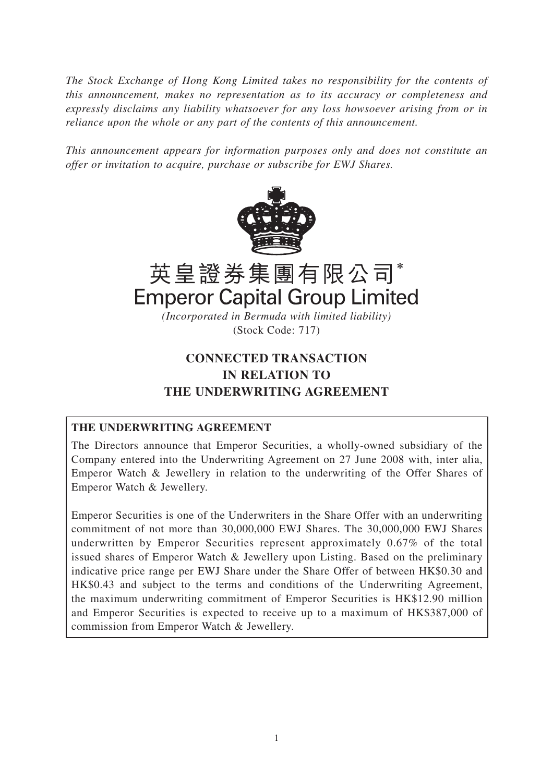*The Stock Exchange of Hong Kong Limited takes no responsibility for the contents of this announcement, makes no representation as to its accuracy or completeness and expressly disclaims any liability whatsoever for any loss howsoever arising from or in reliance upon the whole or any part of the contents of this announcement.*

*This announcement appears for information purposes only and does not constitute an offer or invitation to acquire, purchase or subscribe for EWJ Shares.*



# 英皇證券集團有限公司\* **Emperor Capital Group Limited** *(Incorporated in Bermuda with limited liability)*

(Stock Code: 717)

# **CONNECTED TRANSACTION IN RELATION TO THE UNDERWRITING AGREEMENT**

# **THE UNDERWRITING AGREEMENT**

The Directors announce that Emperor Securities, a wholly-owned subsidiary of the Company entered into the Underwriting Agreement on 27 June 2008 with, inter alia, Emperor Watch & Jewellery in relation to the underwriting of the Offer Shares of Emperor Watch & Jewellery.

Emperor Securities is one of the Underwriters in the Share Offer with an underwriting commitment of not more than 30,000,000 EWJ Shares. The 30,000,000 EWJ Shares underwritten by Emperor Securities represent approximately 0.67% of the total issued shares of Emperor Watch & Jewellery upon Listing. Based on the preliminary indicative price range per EWJ Share under the Share Offer of between HK\$0.30 and HK\$0.43 and subject to the terms and conditions of the Underwriting Agreement, the maximum underwriting commitment of Emperor Securities is HK\$12.90 million and Emperor Securities is expected to receive up to a maximum of HK\$387,000 of commission from Emperor Watch & Jewellery.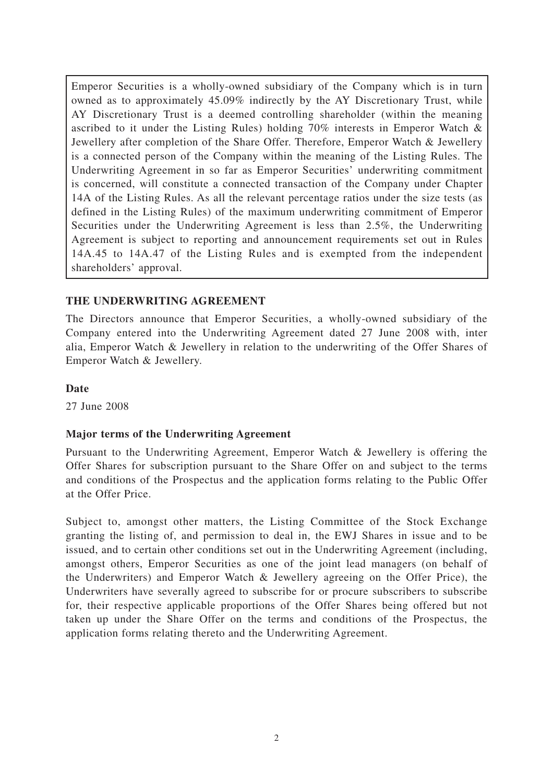Emperor Securities is a wholly-owned subsidiary of the Company which is in turn owned as to approximately 45.09% indirectly by the AY Discretionary Trust, while AY Discretionary Trust is a deemed controlling shareholder (within the meaning ascribed to it under the Listing Rules) holding 70% interests in Emperor Watch & Jewellery after completion of the Share Offer. Therefore, Emperor Watch & Jewellery is a connected person of the Company within the meaning of the Listing Rules. The Underwriting Agreement in so far as Emperor Securities' underwriting commitment is concerned, will constitute a connected transaction of the Company under Chapter 14A of the Listing Rules. As all the relevant percentage ratios under the size tests (as defined in the Listing Rules) of the maximum underwriting commitment of Emperor Securities under the Underwriting Agreement is less than 2.5%, the Underwriting Agreement is subject to reporting and announcement requirements set out in Rules 14A.45 to 14A.47 of the Listing Rules and is exempted from the independent shareholders' approval.

# **THE UNDERWRITING AGREEMENT**

The Directors announce that Emperor Securities, a wholly-owned subsidiary of the Company entered into the Underwriting Agreement dated 27 June 2008 with, inter alia, Emperor Watch & Jewellery in relation to the underwriting of the Offer Shares of Emperor Watch & Jewellery.

#### **Date**

27 June 2008

# **Major terms of the Underwriting Agreement**

Pursuant to the Underwriting Agreement, Emperor Watch & Jewellery is offering the Offer Shares for subscription pursuant to the Share Offer on and subject to the terms and conditions of the Prospectus and the application forms relating to the Public Offer at the Offer Price.

Subject to, amongst other matters, the Listing Committee of the Stock Exchange granting the listing of, and permission to deal in, the EWJ Shares in issue and to be issued, and to certain other conditions set out in the Underwriting Agreement (including, amongst others, Emperor Securities as one of the joint lead managers (on behalf of the Underwriters) and Emperor Watch & Jewellery agreeing on the Offer Price), the Underwriters have severally agreed to subscribe for or procure subscribers to subscribe for, their respective applicable proportions of the Offer Shares being offered but not taken up under the Share Offer on the terms and conditions of the Prospectus, the application forms relating thereto and the Underwriting Agreement.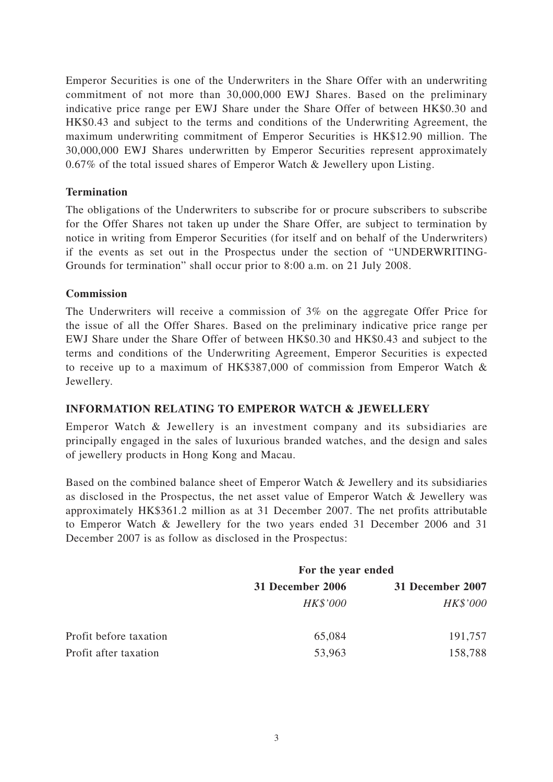Emperor Securities is one of the Underwriters in the Share Offer with an underwriting commitment of not more than 30,000,000 EWJ Shares. Based on the preliminary indicative price range per EWJ Share under the Share Offer of between HK\$0.30 and HK\$0.43 and subject to the terms and conditions of the Underwriting Agreement, the maximum underwriting commitment of Emperor Securities is HK\$12.90 million. The 30,000,000 EWJ Shares underwritten by Emperor Securities represent approximately 0.67% of the total issued shares of Emperor Watch & Jewellery upon Listing.

#### **Termination**

The obligations of the Underwriters to subscribe for or procure subscribers to subscribe for the Offer Shares not taken up under the Share Offer, are subject to termination by notice in writing from Emperor Securities (for itself and on behalf of the Underwriters) if the events as set out in the Prospectus under the section of "UNDERWRITING-Grounds for termination" shall occur prior to 8:00 a.m. on 21 July 2008.

#### **Commission**

The Underwriters will receive a commission of 3% on the aggregate Offer Price for the issue of all the Offer Shares. Based on the preliminary indicative price range per EWJ Share under the Share Offer of between HK\$0.30 and HK\$0.43 and subject to the terms and conditions of the Underwriting Agreement, Emperor Securities is expected to receive up to a maximum of HK\$387,000 of commission from Emperor Watch & Jewellery.

# **INFORMATION RELATING TO EMPEROR WATCH & JEWELLERY**

Emperor Watch & Jewellery is an investment company and its subsidiaries are principally engaged in the sales of luxurious branded watches, and the design and sales of jewellery products in Hong Kong and Macau.

Based on the combined balance sheet of Emperor Watch & Jewellery and its subsidiaries as disclosed in the Prospectus, the net asset value of Emperor Watch & Jewellery was approximately HK\$361.2 million as at 31 December 2007. The net profits attributable to Emperor Watch & Jewellery for the two years ended 31 December 2006 and 31 December 2007 is as follow as disclosed in the Prospectus:

|                        | For the year ended |                  |
|------------------------|--------------------|------------------|
|                        | 31 December 2006   | 31 December 2007 |
|                        | HK\$'000           | HK\$'000         |
| Profit before taxation | 65,084             | 191,757          |
| Profit after taxation  | 53,963             | 158,788          |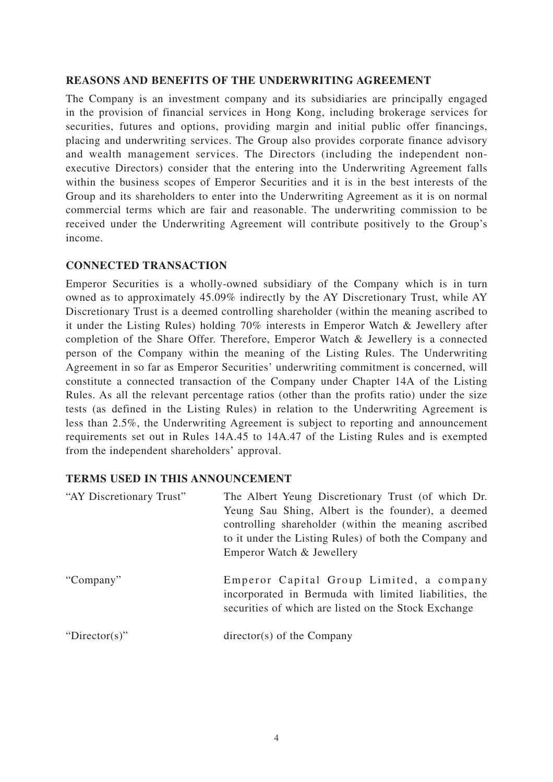#### **REASONS AND BENEFITS OF THE UNDERWRITING AGREEMENT**

The Company is an investment company and its subsidiaries are principally engaged in the provision of financial services in Hong Kong, including brokerage services for securities, futures and options, providing margin and initial public offer financings, placing and underwriting services. The Group also provides corporate finance advisory and wealth management services. The Directors (including the independent nonexecutive Directors) consider that the entering into the Underwriting Agreement falls within the business scopes of Emperor Securities and it is in the best interests of the Group and its shareholders to enter into the Underwriting Agreement as it is on normal commercial terms which are fair and reasonable. The underwriting commission to be received under the Underwriting Agreement will contribute positively to the Group's income.

#### **CONNECTED TRANSACTION**

Emperor Securities is a wholly-owned subsidiary of the Company which is in turn owned as to approximately 45.09% indirectly by the AY Discretionary Trust, while AY Discretionary Trust is a deemed controlling shareholder (within the meaning ascribed to it under the Listing Rules) holding 70% interests in Emperor Watch & Jewellery after completion of the Share Offer. Therefore, Emperor Watch & Jewellery is a connected person of the Company within the meaning of the Listing Rules. The Underwriting Agreement in so far as Emperor Securities' underwriting commitment is concerned, will constitute a connected transaction of the Company under Chapter 14A of the Listing Rules. As all the relevant percentage ratios (other than the profits ratio) under the size tests (as defined in the Listing Rules) in relation to the Underwriting Agreement is less than 2.5%, the Underwriting Agreement is subject to reporting and announcement requirements set out in Rules 14A.45 to 14A.47 of the Listing Rules and is exempted from the independent shareholders' approval.

# **TERMS USED IN THIS ANNOUNCEMENT**

| "AY Discretionary Trust" | The Albert Yeung Discretionary Trust (of which Dr.<br>Yeung Sau Shing, Albert is the founder), a deemed<br>controlling shareholder (within the meaning ascribed)<br>to it under the Listing Rules) of both the Company and<br>Emperor Watch & Jewellery |
|--------------------------|---------------------------------------------------------------------------------------------------------------------------------------------------------------------------------------------------------------------------------------------------------|
| "Company"                | Emperor Capital Group Limited, a company<br>incorporated in Bermuda with limited liabilities, the<br>securities of which are listed on the Stock Exchange                                                                                               |
| "Director(s)"            | $directory(s)$ of the Company                                                                                                                                                                                                                           |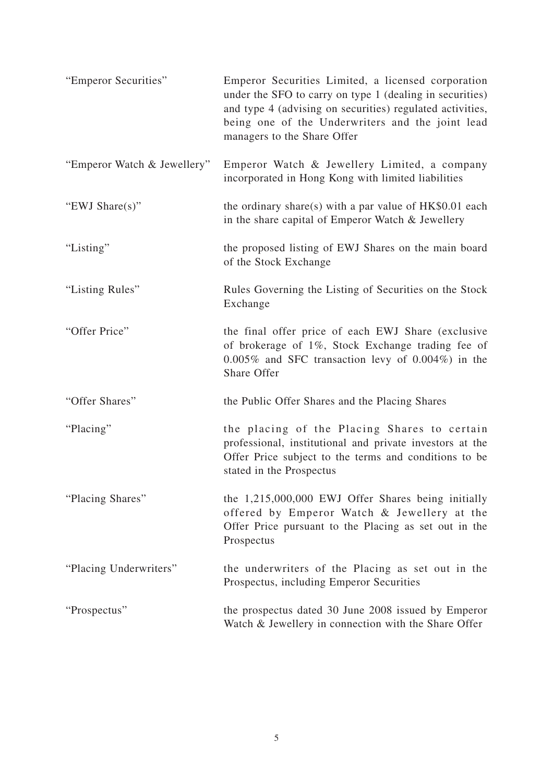| "Emperor Securities"        | Emperor Securities Limited, a licensed corporation<br>under the SFO to carry on type 1 (dealing in securities)<br>and type 4 (advising on securities) regulated activities,<br>being one of the Underwriters and the joint lead<br>managers to the Share Offer |
|-----------------------------|----------------------------------------------------------------------------------------------------------------------------------------------------------------------------------------------------------------------------------------------------------------|
| "Emperor Watch & Jewellery" | Emperor Watch & Jewellery Limited, a company<br>incorporated in Hong Kong with limited liabilities                                                                                                                                                             |
| "EWJ Share $(s)$ "          | the ordinary share(s) with a par value of $HK$0.01$ each<br>in the share capital of Emperor Watch & Jewellery                                                                                                                                                  |
| "Listing"                   | the proposed listing of EWJ Shares on the main board<br>of the Stock Exchange                                                                                                                                                                                  |
| "Listing Rules"             | Rules Governing the Listing of Securities on the Stock<br>Exchange                                                                                                                                                                                             |
| "Offer Price"               | the final offer price of each EWJ Share (exclusive<br>of brokerage of 1%, Stock Exchange trading fee of<br>$0.005\%$ and SFC transaction levy of $0.004\%$ ) in the<br>Share Offer                                                                             |
| "Offer Shares"              | the Public Offer Shares and the Placing Shares                                                                                                                                                                                                                 |
| "Placing"                   | the placing of the Placing Shares to certain<br>professional, institutional and private investors at the<br>Offer Price subject to the terms and conditions to be<br>stated in the Prospectus                                                                  |
| "Placing Shares"            | the 1,215,000,000 EWJ Offer Shares being initially<br>offered by Emperor Watch & Jewellery at the<br>Offer Price pursuant to the Placing as set out in the<br>Prospectus                                                                                       |
| "Placing Underwriters"      | the underwriters of the Placing as set out in the<br>Prospectus, including Emperor Securities                                                                                                                                                                  |
| "Prospectus"                | the prospectus dated 30 June 2008 issued by Emperor<br>Watch & Jewellery in connection with the Share Offer                                                                                                                                                    |